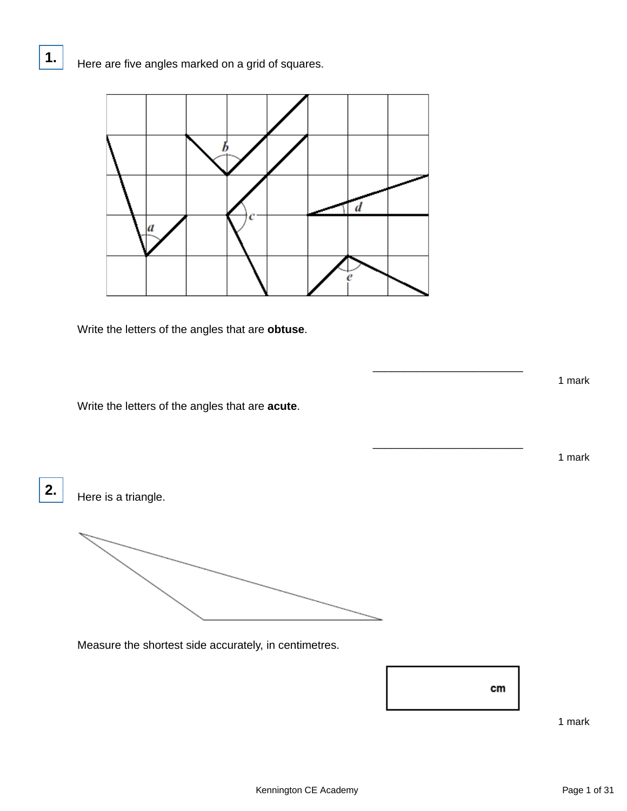

Write the letters of the angles that are **obtuse**.

Write the letters of the angles that are **acute**.

**2.**

**1.**

Here is a triangle.

Measure the shortest side accurately, in centimetres.



\_\_\_\_\_\_\_\_\_\_\_\_\_\_\_\_\_\_\_\_\_\_\_\_

\_\_\_\_\_\_\_\_\_\_\_\_\_\_\_\_\_\_\_\_\_\_\_\_

1 mark

1 mark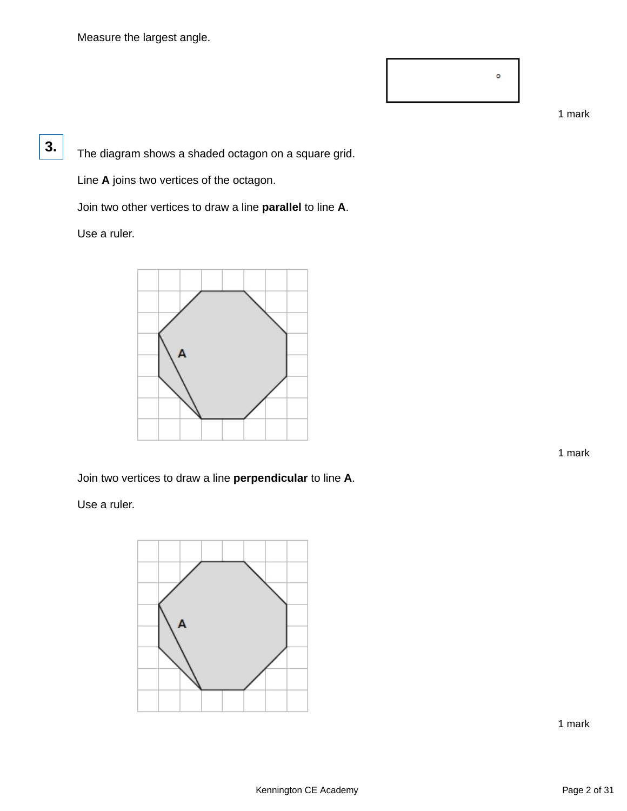Measure the largest angle.



1 mark

The diagram shows a shaded octagon on a square grid.

Line **A** joins two vertices of the octagon.

Join two other vertices to draw a line **parallel** to line **A**.

Use a ruler.

**3.**



1 mark

Join two vertices to draw a line **perpendicular** to line **A**.

Use a ruler.

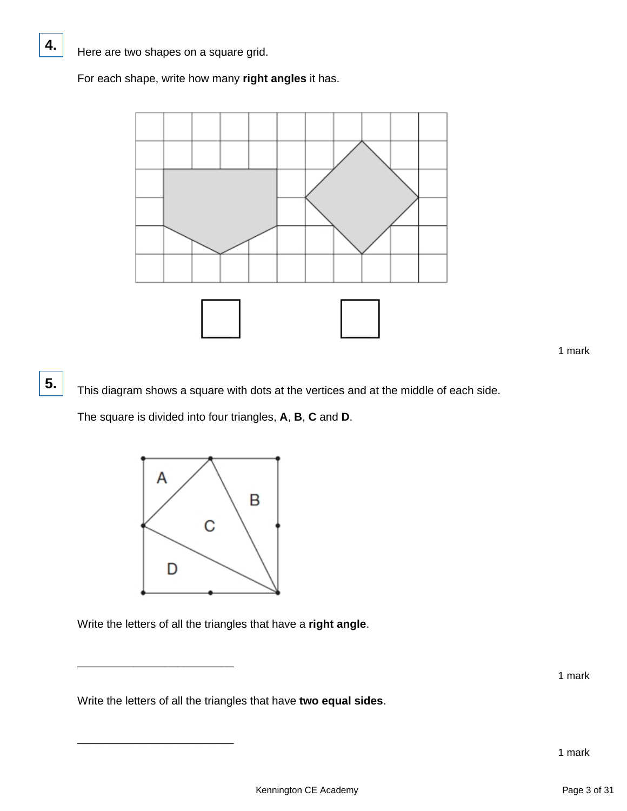**4.**

**5.**

For each shape, write how many **right angles** it has.



This diagram shows a square with dots at the vertices and at the middle of each side.

The square is divided into four triangles, **A**, **B**, **C** and **D**.



Write the letters of all the triangles that have a **right angle**.

\_\_\_\_\_\_\_\_\_\_\_\_\_\_\_\_\_\_\_\_\_\_\_\_\_

\_\_\_\_\_\_\_\_\_\_\_\_\_\_\_\_\_\_\_\_\_\_\_\_\_

Write the letters of all the triangles that have **two equal sides**.

<sup>1</sup> mark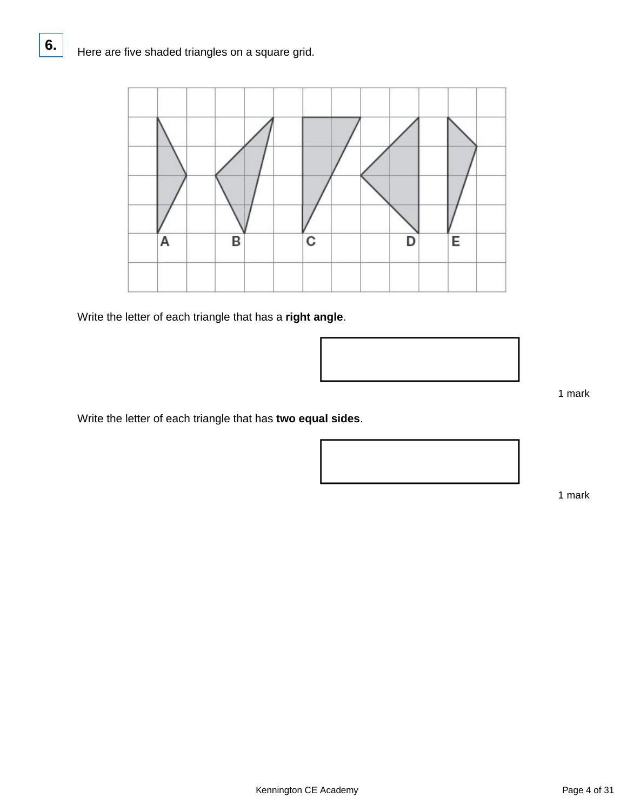

Write the letter of each triangle that has a **right angle**.



1 mark

Write the letter of each triangle that has **two equal sides**.

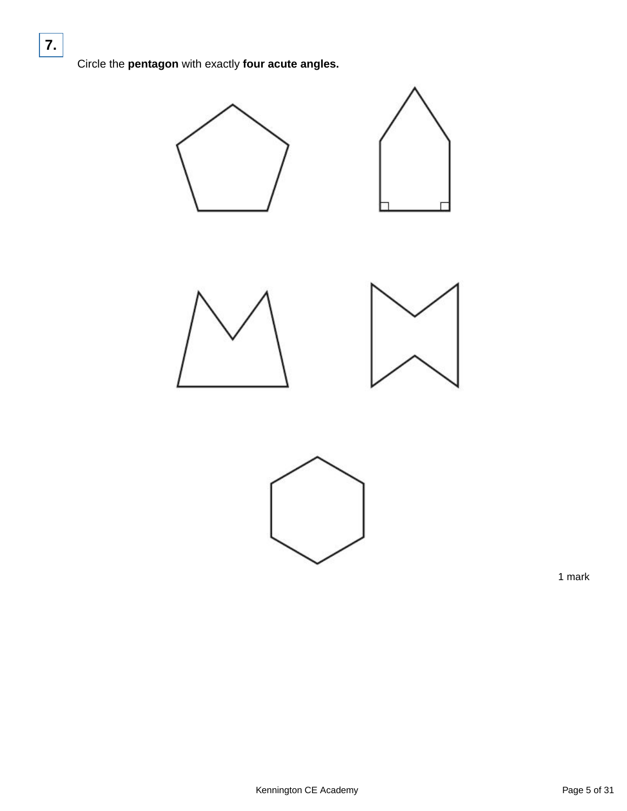Circle the **pentagon** with exactly **four acute angles.**







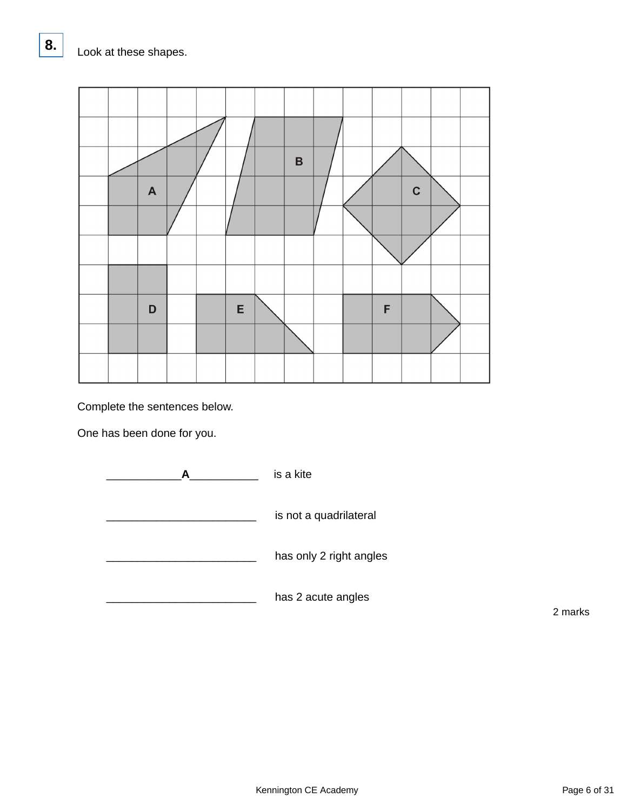

Complete the sentences below.

One has been done for you.



2 marks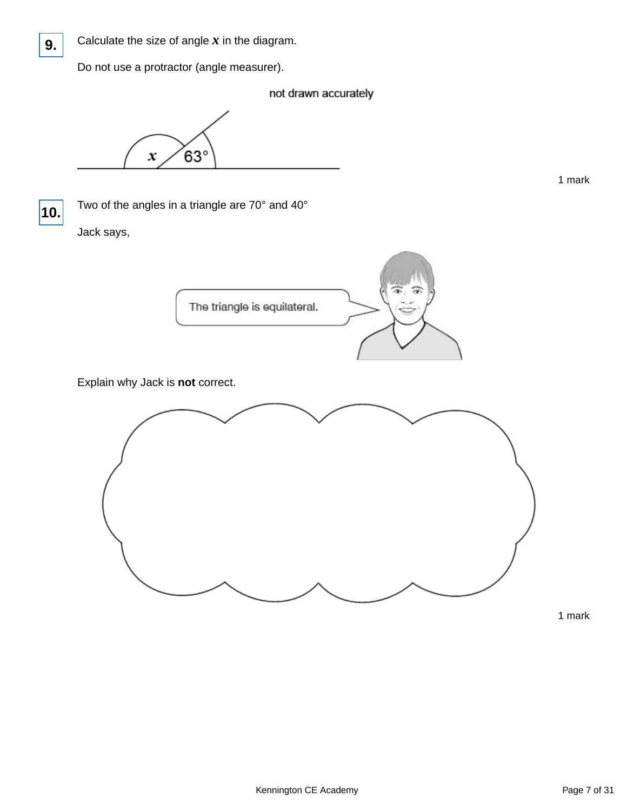

Calculate the size of angle  $x$  in the diagram.

Do not use a protractor (angle measurer).

not drawn accurately

 $63^\circ$  $\boldsymbol{x}$ 



Two of the angles in a triangle are 70° and 40°

Jack says,



Explain why Jack is **not** correct.



1 mark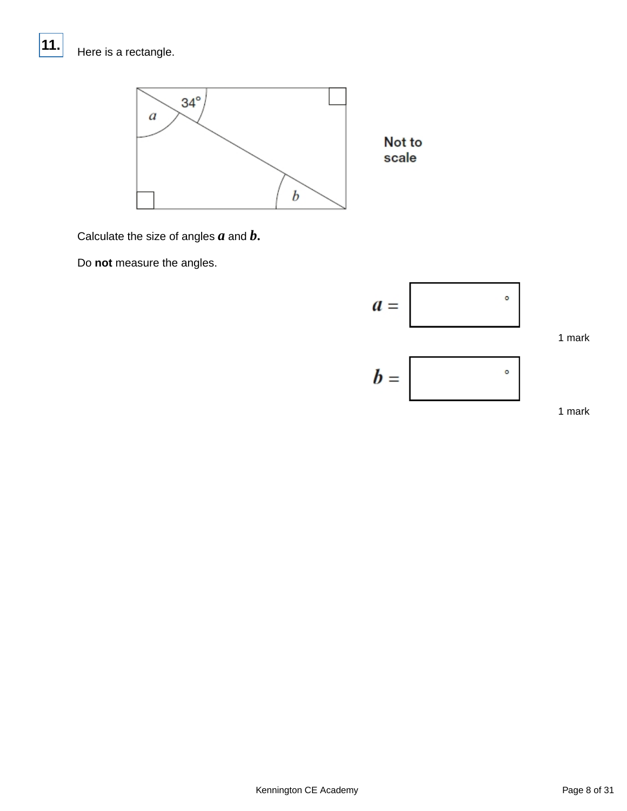# Here is a rectangle.

**11.**



Calculate the size of angles *a* and *b***.**

Do **not** measure the angles.

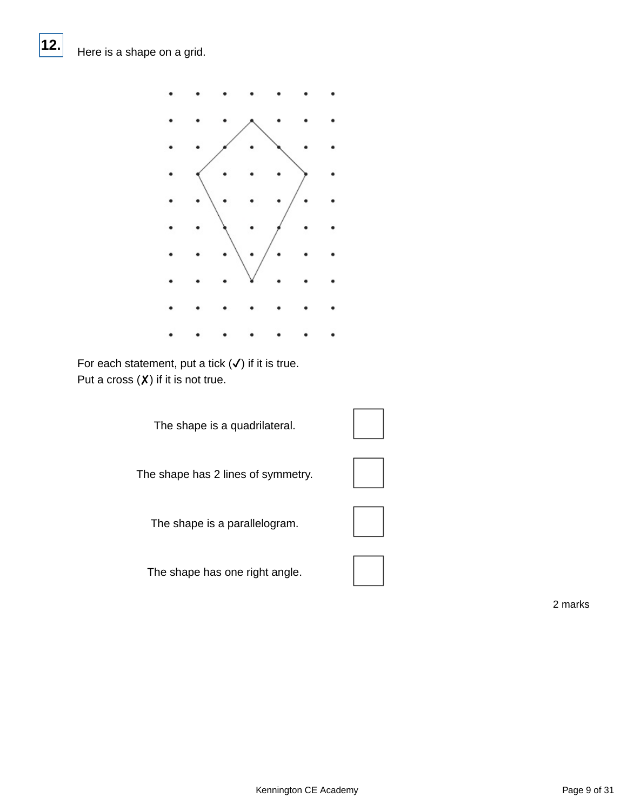**12.**



For each statement, put a tick  $(\checkmark)$  if it is true. Put a cross  $(X)$  if it is not true.

The shape is a quadrilateral.

The shape has 2 lines of symmetry.

The shape is a parallelogram.

The shape has one right angle.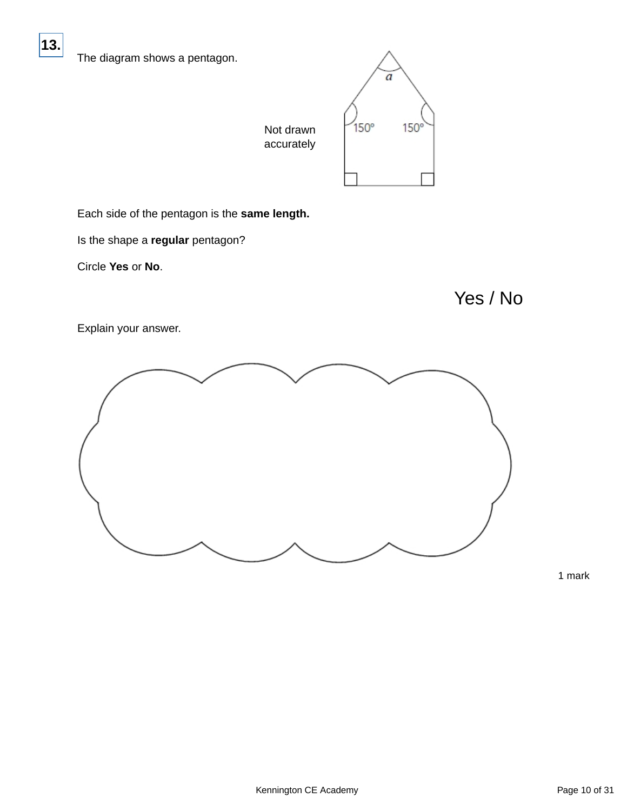**13.**



Each side of the pentagon is the **same length.**

Is the shape a **regular** pentagon?

Circle **Yes** or **No**.

Yes / No

Explain your answer.

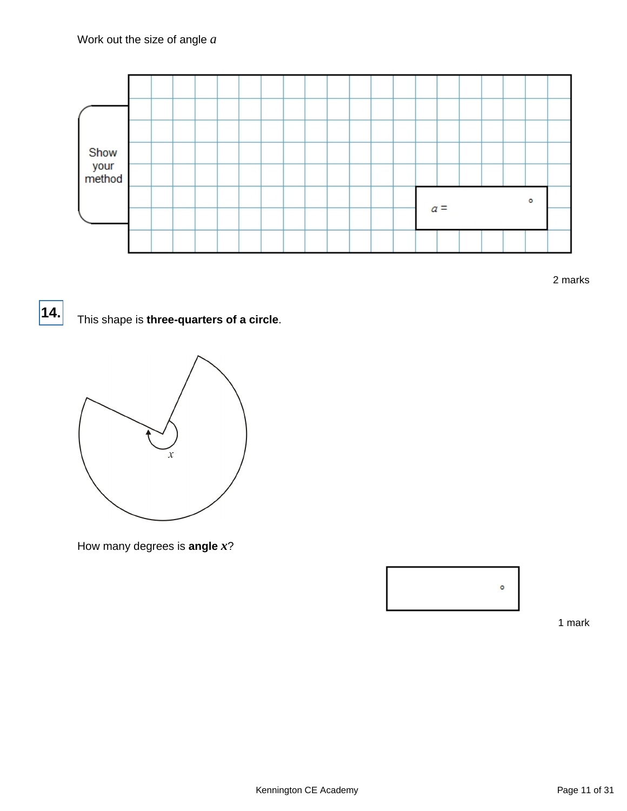

2 marks

# **14.**

## This shape is **three-quarters of a circle**.



How many degrees is **angle** *x*?

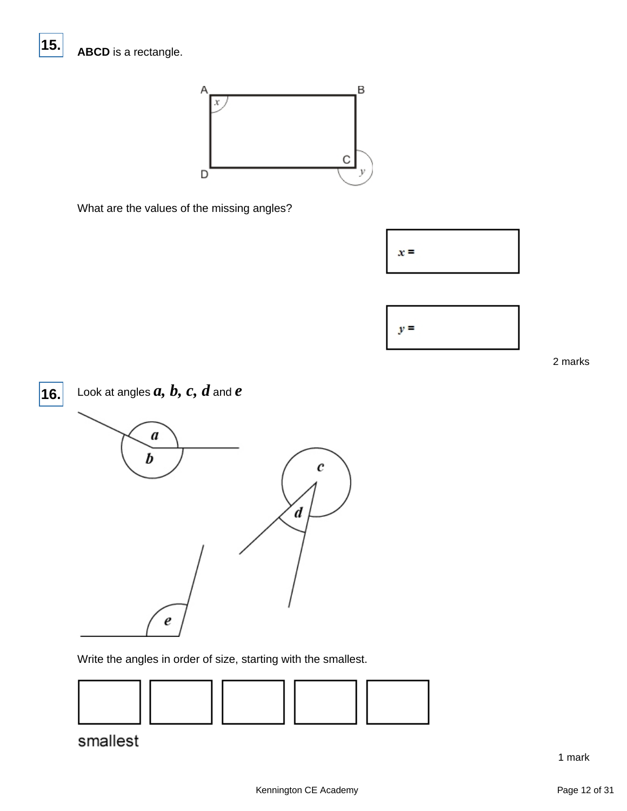**15.**



What are the values of the missing angles?





2 marks



Write the angles in order of size, starting with the smallest.



smallest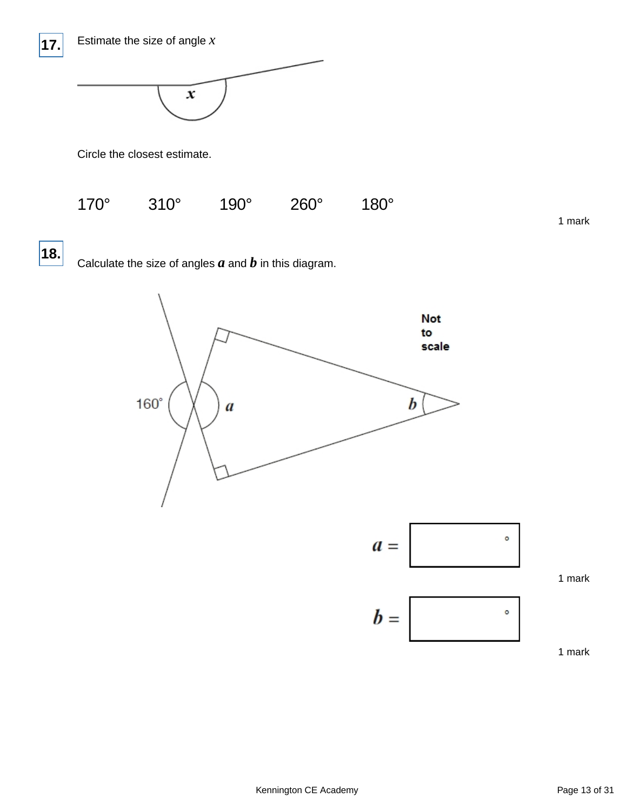



Circle the closest estimate.



1 mark

**18.**

Calculate the size of angles  $a$  and  $b$  in this diagram.

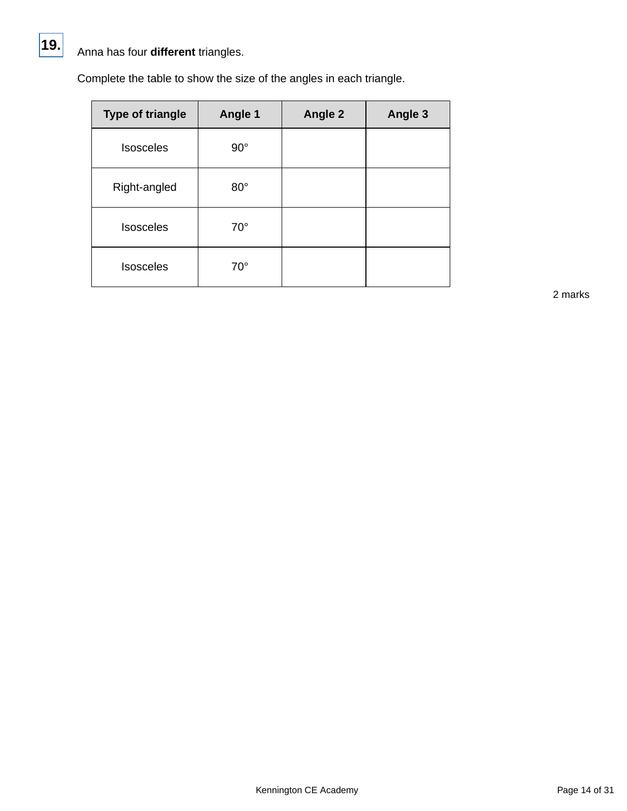

## Anna has four **different** triangles.

Complete the table to show the size of the angles in each triangle.

| <b>Type of triangle</b> | Angle 1      | Angle 2 | Angle 3 |
|-------------------------|--------------|---------|---------|
| <b>Isosceles</b>        | $90^{\circ}$ |         |         |
| Right-angled            | $80^\circ$   |         |         |
| <b>Isosceles</b>        | $70^{\circ}$ |         |         |
| <b>Isosceles</b>        | $70^{\circ}$ |         |         |

2 marks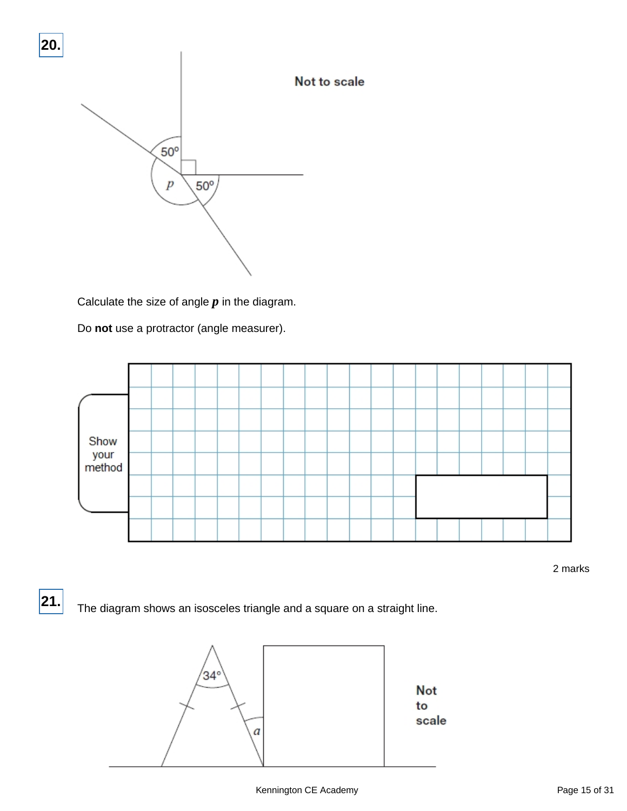

Calculate the size of angle *p* in the diagram.

Do **not** use a protractor (angle measurer).



2 marks

The diagram shows an isosceles triangle and a square on a straight line. **21.**

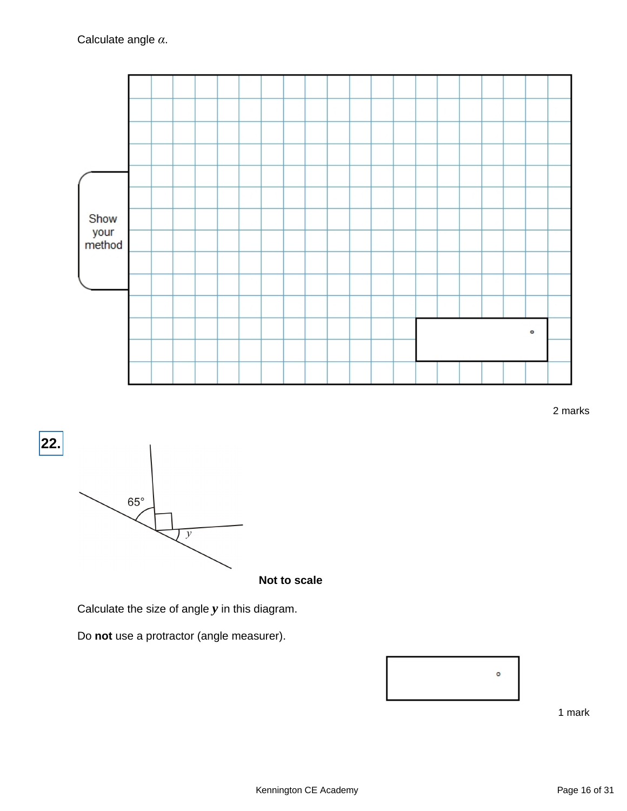

2 marks



**Not to scale**

Calculate the size of angle *y* in this diagram.

Do **not** use a protractor (angle measurer).

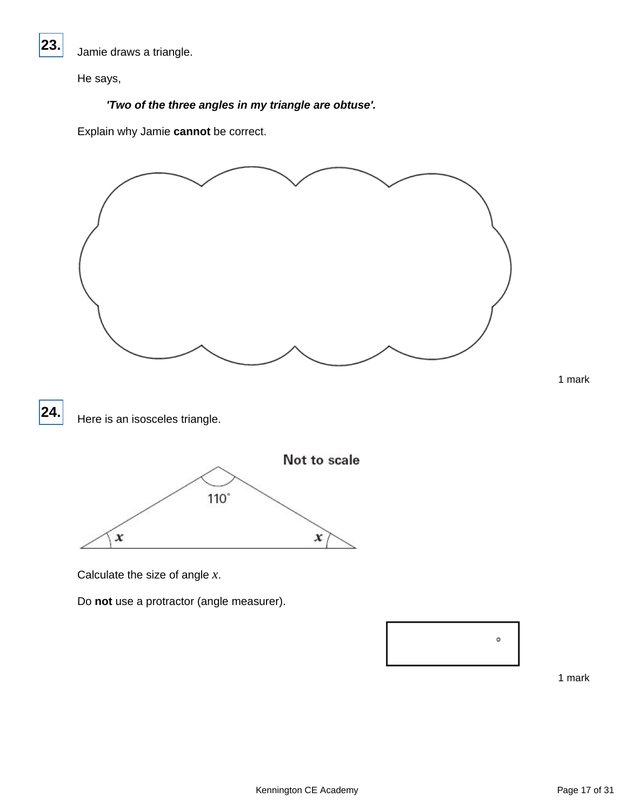

Jamie draws a triangle.

He says,

## **'Two of the three angles in my triangle are obtuse'.**

Explain why Jamie **cannot** be correct.



Do **not** use a protractor (angle measurer).

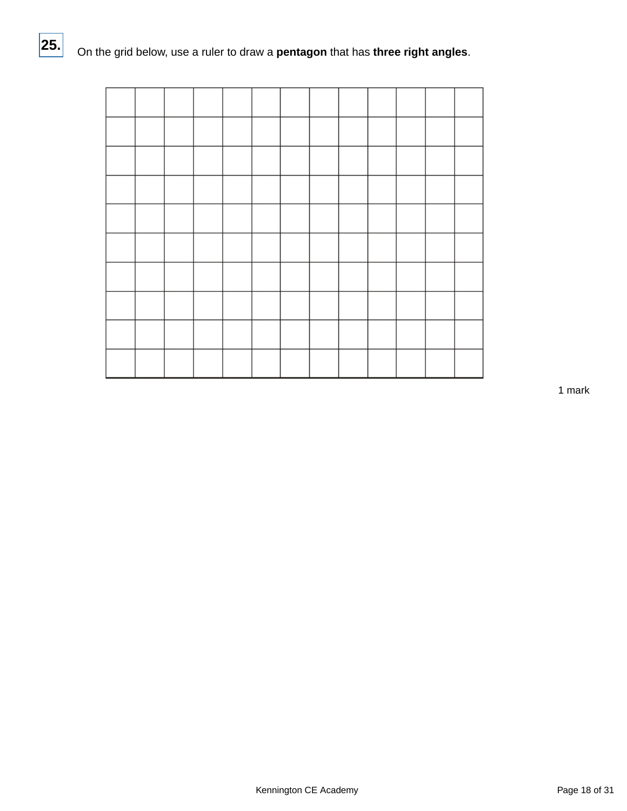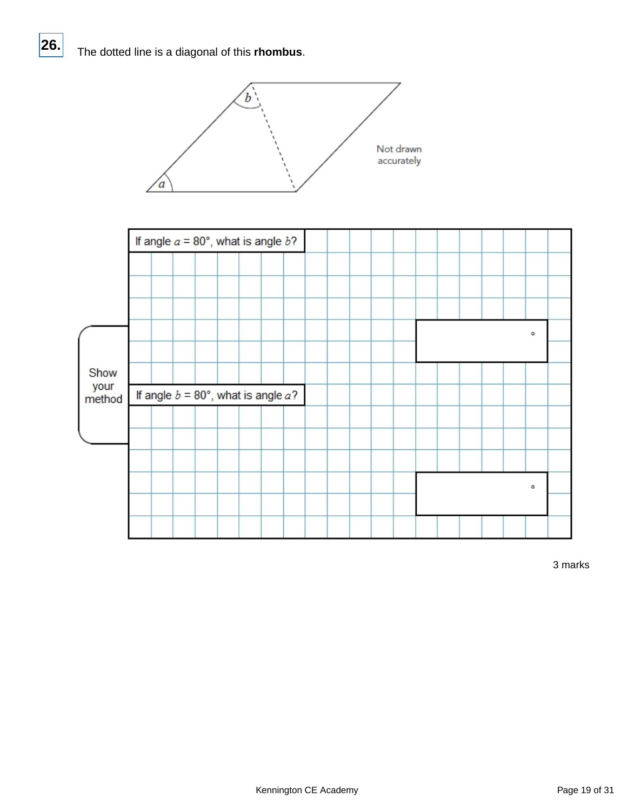**26.**



|                | If angle $a = 80^\circ$ , what is angle $b$ ? |  |  |                                            |  |  |  |  |  |  |         |  |
|----------------|-----------------------------------------------|--|--|--------------------------------------------|--|--|--|--|--|--|---------|--|
|                |                                               |  |  |                                            |  |  |  |  |  |  |         |  |
|                |                                               |  |  |                                            |  |  |  |  |  |  |         |  |
|                |                                               |  |  |                                            |  |  |  |  |  |  |         |  |
|                |                                               |  |  |                                            |  |  |  |  |  |  | $\circ$ |  |
|                |                                               |  |  |                                            |  |  |  |  |  |  |         |  |
| Show           |                                               |  |  |                                            |  |  |  |  |  |  |         |  |
| your<br>method |                                               |  |  | If angle $b = 80^\circ$ , what is angle a? |  |  |  |  |  |  |         |  |
|                |                                               |  |  |                                            |  |  |  |  |  |  |         |  |
|                |                                               |  |  |                                            |  |  |  |  |  |  |         |  |
|                |                                               |  |  |                                            |  |  |  |  |  |  |         |  |
|                |                                               |  |  |                                            |  |  |  |  |  |  |         |  |
|                |                                               |  |  |                                            |  |  |  |  |  |  | $\circ$ |  |
|                |                                               |  |  |                                            |  |  |  |  |  |  |         |  |

3 marks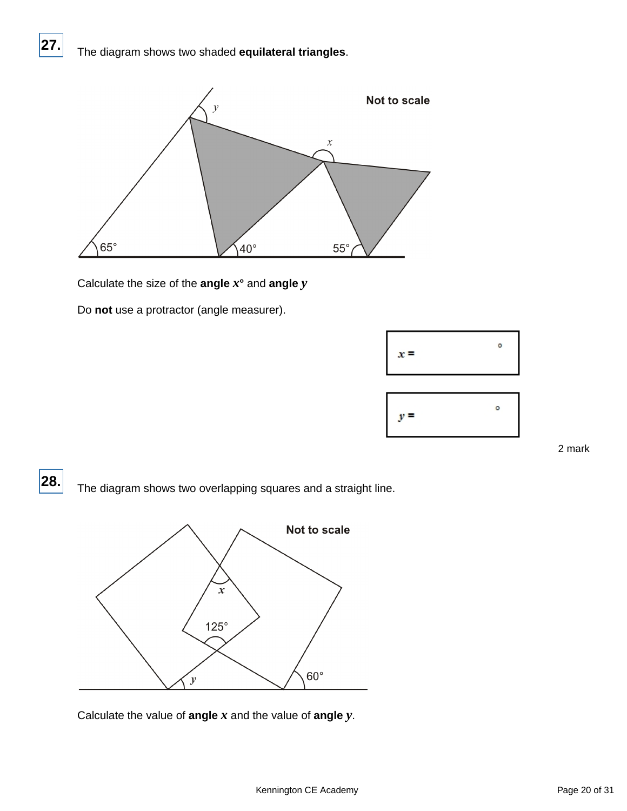## The diagram shows two shaded **equilateral triangles**.

**27.**



Calculate the size of the **angle** *x***°** and **angle** *y*

Do **not** use a protractor (angle measurer).

| $x =$ | ۰ |
|-------|---|
|       |   |
| $y =$ | o |

2 mark

The diagram shows two overlapping squares and a straight line. **28.**



Calculate the value of **angle** *x* and the value of **angle** *y*.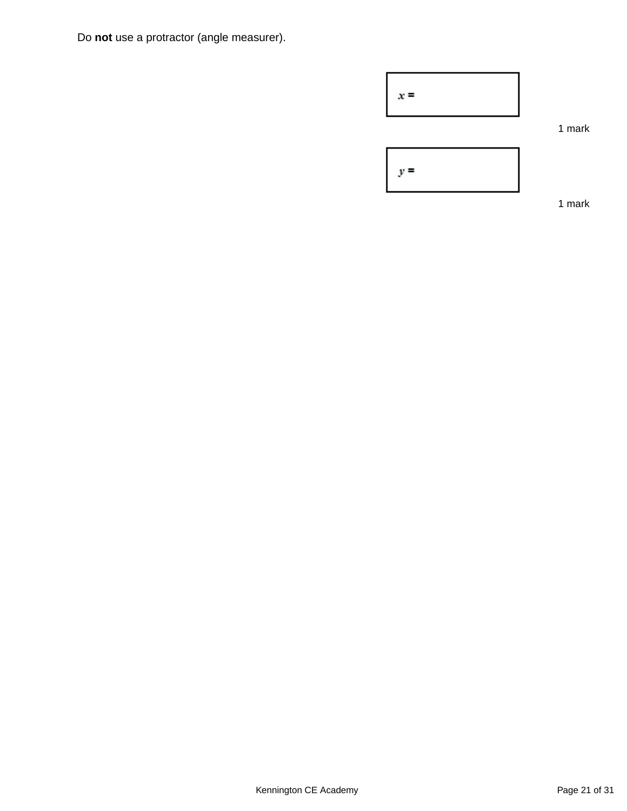Do **not** use a protractor (angle measurer).



1 mark

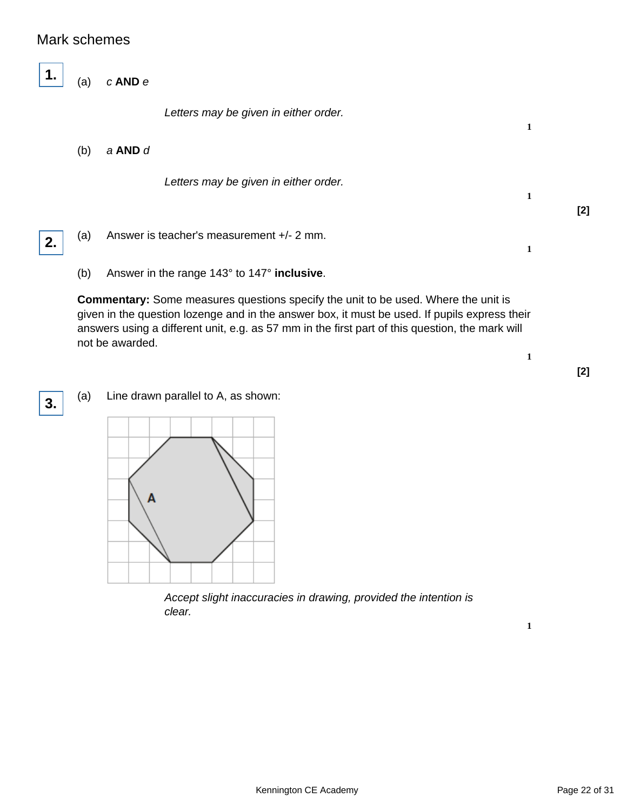## Mark schemes

(a) c **AND** e

Letters may be given in either order.

(b) a **AND** d

Letters may be given in either order.

**2.**

**1.**

(a) Answer is teacher's measurement +/- 2 mm.

(b) Answer in the range 143° to 147° **inclusive**.

**Commentary:** Some measures questions specify the unit to be used. Where the unit is given in the question lozenge and in the answer box, it must be used. If pupils express their answers using a different unit, e.g. as 57 mm in the first part of this question, the mark will not be awarded.

**3.**

(a) Line drawn parallel to A, as shown:



Accept slight inaccuracies in drawing, provided the intention is clear.

**1**

**1**

**1**

**1**

**[2]**

**[2]**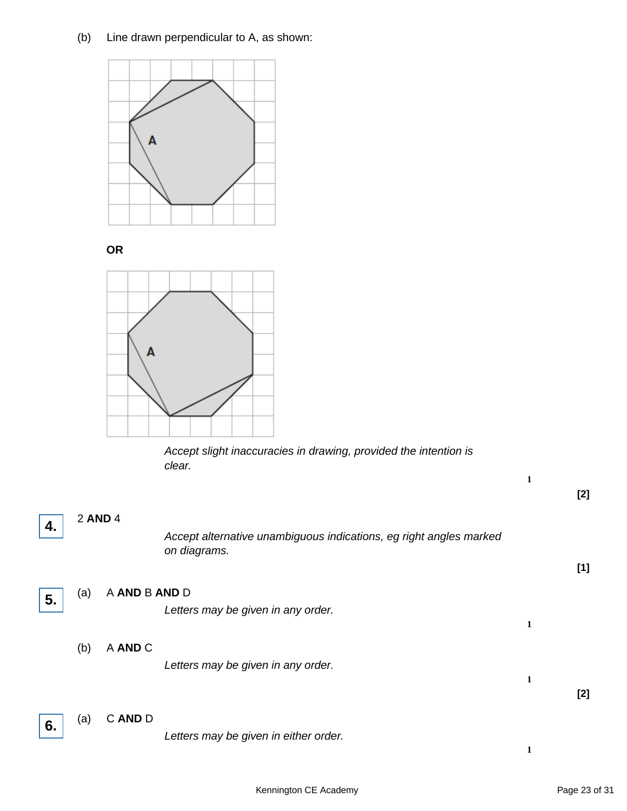## (b) Line drawn perpendicular to A, as shown:



**OR**



Accept slight inaccuracies in drawing, provided the intention is clear.

|    |         |               |                                                                                    | $\mathbf{1}$ | $[2]$ |
|----|---------|---------------|------------------------------------------------------------------------------------|--------------|-------|
| 4. | 2 AND 4 |               | Accept alternative unambiguous indications, eg right angles marked<br>on diagrams. |              | [1]   |
| 5. | (a)     | A AND B AND D | Letters may be given in any order.                                                 | $\mathbf{1}$ |       |
|    | (b)     | A AND C       | Letters may be given in any order.                                                 | $\mathbf{1}$ | $[2]$ |
| 6. | (a)     | C AND D       | Letters may be given in either order.                                              | $\mathbf{1}$ |       |

Kennington CE Academy **Page 23 of 31**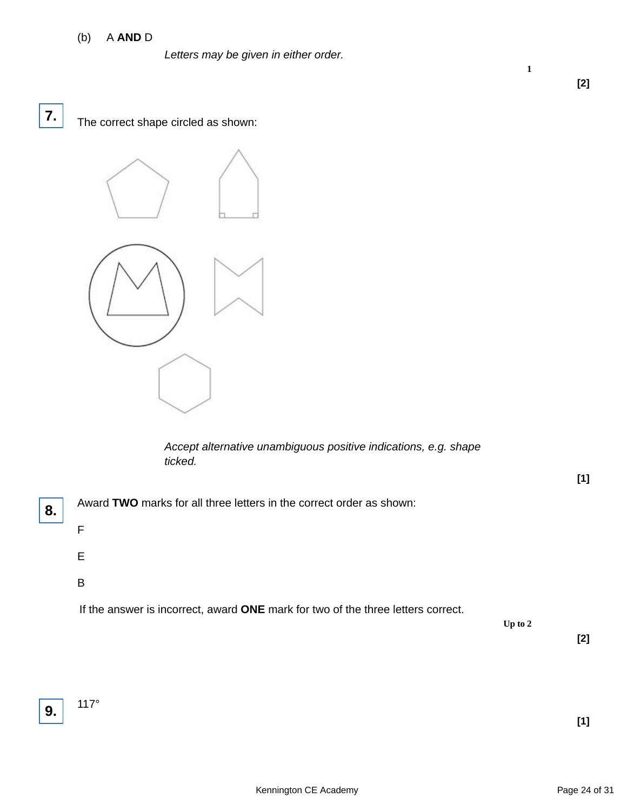#### (b) A **AND** D

Letters may be given in either order.

**7.**

The correct shape circled as shown:



Accept alternative unambiguous positive indications, e.g. shape ticked.



**Up to 2**

**1**

**[2]**

**[2]**

**[1]**



117°

**[1]**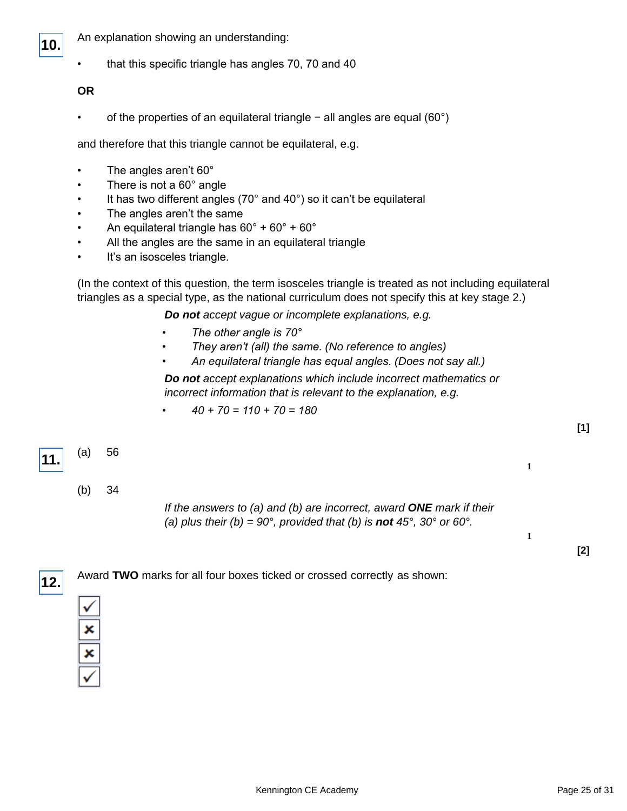

- An explanation showing an understanding:
- that this specific triangle has angles 70, 70 and 40

#### **OR**

• of the properties of an equilateral triangle − all angles are equal (60°)

and therefore that this triangle cannot be equilateral, e.g.

- The angles aren't 60°
- There is not a  $60^\circ$  angle
- It has two different angles ( $70^{\circ}$  and  $40^{\circ}$ ) so it can't be equilateral
- The angles aren't the same
- An equilateral triangle has  $60^\circ + 60^\circ + 60^\circ$
- All the angles are the same in an equilateral triangle
- It's an isosceles triangle.

(In the context of this question, the term isosceles triangle is treated as not including equilateral triangles as a special type, as the national curriculum does not specify this at key stage 2.)

**Do not** accept vague or incomplete explanations, e.g.

- *The other angle is 70°*
- *They aren't (all) the same.* (No reference to angles)
- *An equilateral triangle has equal angles.* (Does not say all.)

**Do not** accept explanations which include incorrect mathematics or incorrect information that is relevant to the explanation, e.g.

*• 40 + 70 = 110 + 70 = 180*

#### (a) 56 **11.**

**1**

**1**

**[1]**

**[2]**

(b) 34

If the answers to (a) and (b) are incorrect, award **ONE** mark if their (a) plus their (b) =  $90^\circ$ , provided that (b) is **not**  $45^\circ$ ,  $30^\circ$  or  $60^\circ$ .

Award **TWO** marks for all four boxes ticked or crossed correctly as shown: **12.**

| ∕ |
|---|
| c |
| c |
| í |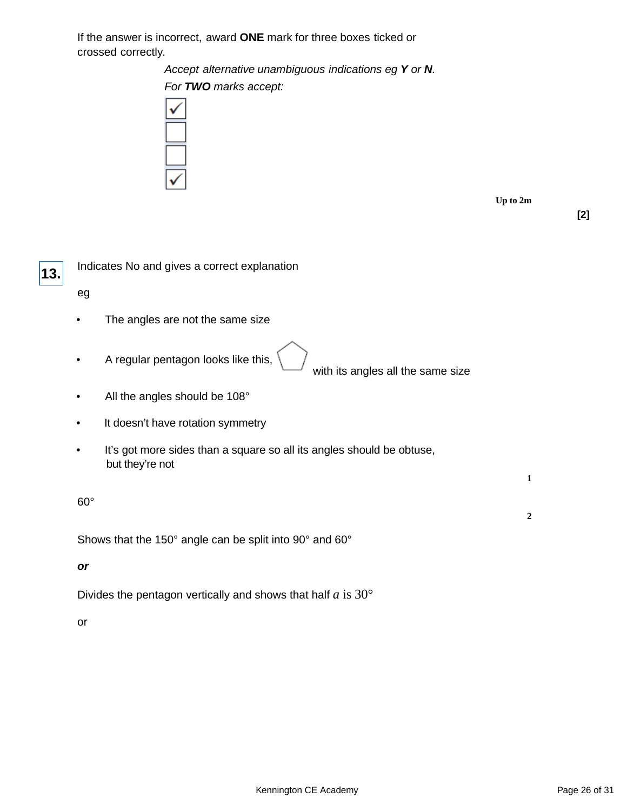If the answer is incorrect, award **ONE** mark for three boxes ticked or crossed correctly.

Accept alternative unambiguous indications eg **Y** or **N**.

For **TWO** marks accept:



|  |  | Un to 2m |
|--|--|----------|
|--|--|----------|

**[2]**



Indicates No and gives a correct explanation

eg

- The angles are not the same size
- A regular pentagon looks like this,

with its angles all the same size

- All the angles should be 108°
- It doesn't have rotation symmetry
- It's got more sides than a square so all its angles should be obtuse, but they're not

**1**

**2**

60°

Shows that the 150° angle can be split into 90° and 60°

**or**

Divides the pentagon vertically and shows that half *a* is 30°

or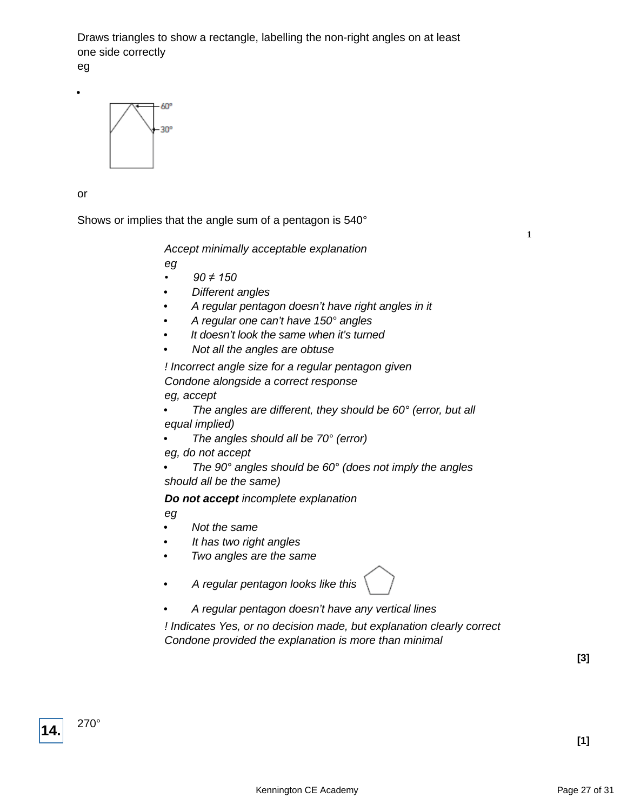Draws triangles to show a rectangle, labelling the non-right angles on at least one side correctly

eg

•



or

Shows or implies that the angle sum of a pentagon is 540°

**1**

Accept minimally acceptable explanation

eg

- *90 ≠ 150*
- Different angles
- A regular pentagon doesn't have right angles in it
- A regular one can't have 150° angles
- It doesn't look the same when it's turned
- Not all the angles are obtuse

! Incorrect angle size for a regular pentagon given Condone alongside a correct response eg, accept

- The angles are different, they should be 60° (error, but all equal implied)
- The angles should all be  $70^{\circ}$  (error)
- eg, do not accept

The  $90^\circ$  angles should be  $60^\circ$  (does not imply the angles should all be the same)

**Do not accept** incomplete explanation

eg

- Not the same
- It has two right angles
- Two angles are the same
- A regular pentagon looks like this



! Indicates Yes, or no decision made, but explanation clearly correct Condone provided the explanation is more than minimal

**[3]**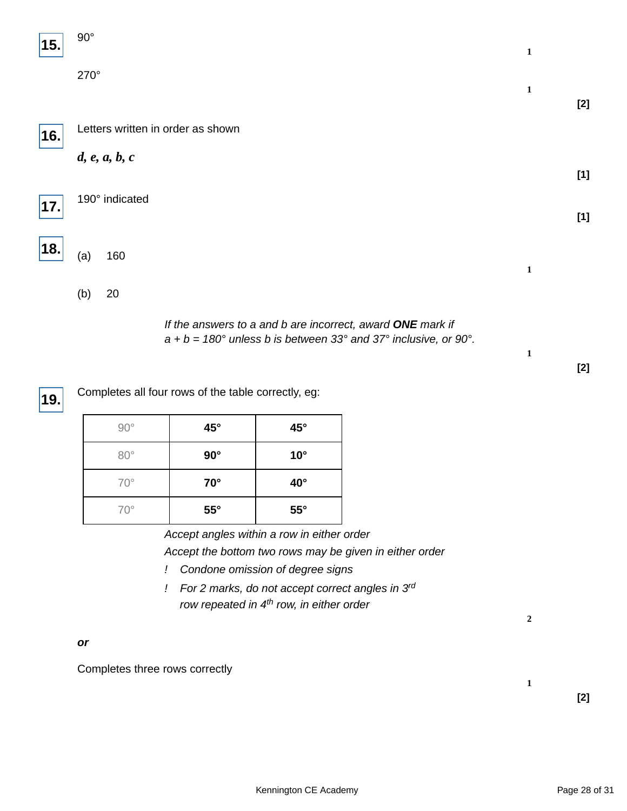| 15. | $90^\circ$     |                                                                                                                                      | $\mathbf{1}$ |       |
|-----|----------------|--------------------------------------------------------------------------------------------------------------------------------------|--------------|-------|
|     | 270°           |                                                                                                                                      | $\mathbf 1$  | $[2]$ |
| 16. |                | Letters written in order as shown                                                                                                    |              |       |
|     | d, e, a, b, c  |                                                                                                                                      |              | $[1]$ |
| 17. | 190° indicated |                                                                                                                                      |              | $[1]$ |
| 18. | (a)<br>160     |                                                                                                                                      | $\mathbf{1}$ |       |
|     | 20<br>(b)      |                                                                                                                                      |              |       |
|     |                | If the answers to a and b are incorrect, award ONE mark if<br>$a + b = 180^\circ$ unless b is between 33° and 37° inclusive, or 90°. |              |       |

| 19. Completes all four rows of the table correctly, eg: |
|---------------------------------------------------------|

| $90^{\circ}$ | $45^{\circ}$ | $45^{\circ}$ |
|--------------|--------------|--------------|
| $80^\circ$   | $90^\circ$   | $10^{\circ}$ |
| $70^{\circ}$ | $70^{\circ}$ | $40^{\circ}$ |
| $70^{\circ}$ | $55^{\circ}$ | $55^{\circ}$ |

Accept angles within a row in either order Accept the bottom two rows may be given in either order

- ! Condone omission of degree signs
- ! For 2 marks, do not accept correct angles in 3rd row repeated in  $4<sup>th</sup>$  row, in either order

**2**

**1**

**1**

**[2]**

**or**

Completes three rows correctly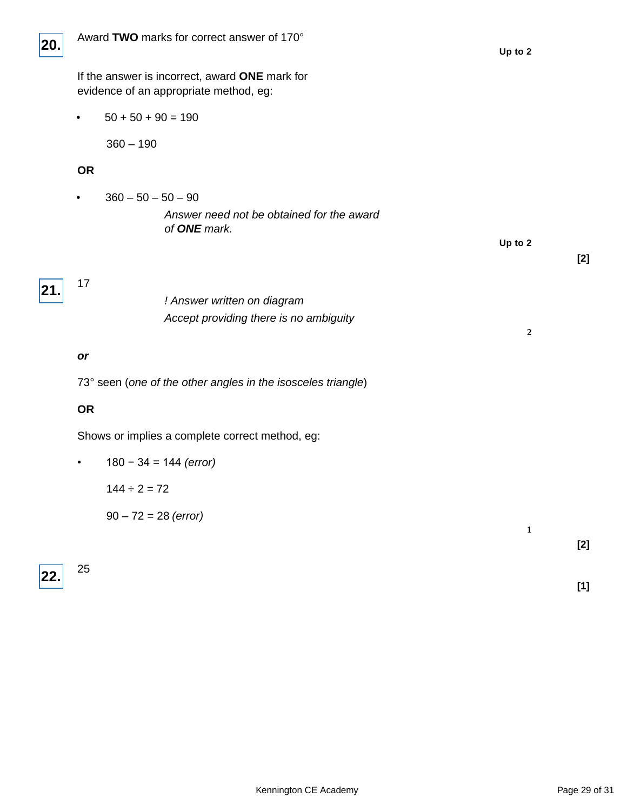

**Up to 2**

**2**

**1**

If the answer is incorrect, award **ONE** mark for evidence of an appropriate method, eg:

•  $50 + 50 + 90 = 190$ 

360 – 190

#### **OR**

 $360 - 50 - 50 - 90$ Answer need not be obtained for the award of **ONE** mark.

| 21. | 17 |  |
|-----|----|--|

! Answer written on diagram Accept providing there is no ambiguity

#### **or**

73° seen (one of the other angles in the isosceles triangle)

#### **OR**

Shows or implies a complete correct method, eg:

|  |  |  |  | $180 - 34 = 144$ (error) |
|--|--|--|--|--------------------------|
|--|--|--|--|--------------------------|

 $144 \div 2 = 72$ 

 $90 - 72 = 28$  (error)



25

**[2]**

**[2]**

**[1]**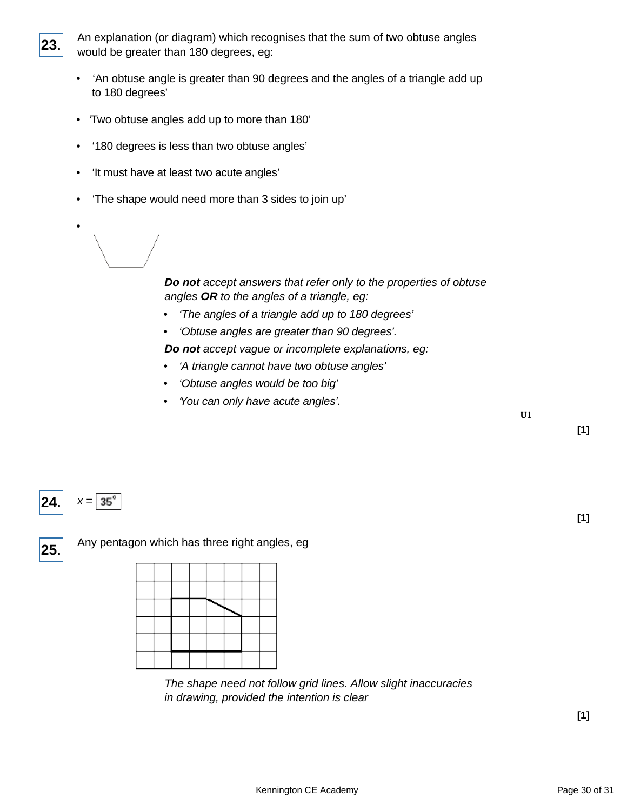**23.**

An explanation (or diagram) which recognises that the sum of two obtuse angles would be greater than 180 degrees, eg:

- 'An obtuse angle is greater than 90 degrees and the angles of a triangle add up to 180 degrees'
- 'Two obtuse angles add up to more than 180'
- '180 degrees is less than two obtuse angles'
- 'It must have at least two acute angles'
- 'The shape would need more than 3 sides to join up'
- •

**Do not** accept answers that refer only to the properties of obtuse angles **OR** to the angles of a triangle, eg:

- 'The angles of a triangle add up to 180 degrees'
- 'Obtuse angles are greater than 90 degrees'.

**Do not** accept vague or incomplete explanations, eg:

- 'A triangle cannot have two obtuse angles'
- 'Obtuse angles would be too big'
- You can only have acute angles'.

**U1**

**[1]**

**[1]**

#### $35^\circ$ **24.**  $x =$

**25.**

Any pentagon which has three right angles, eg



The shape need not follow grid lines. Allow slight inaccuracies in drawing, provided the intention is clear

**[1]**